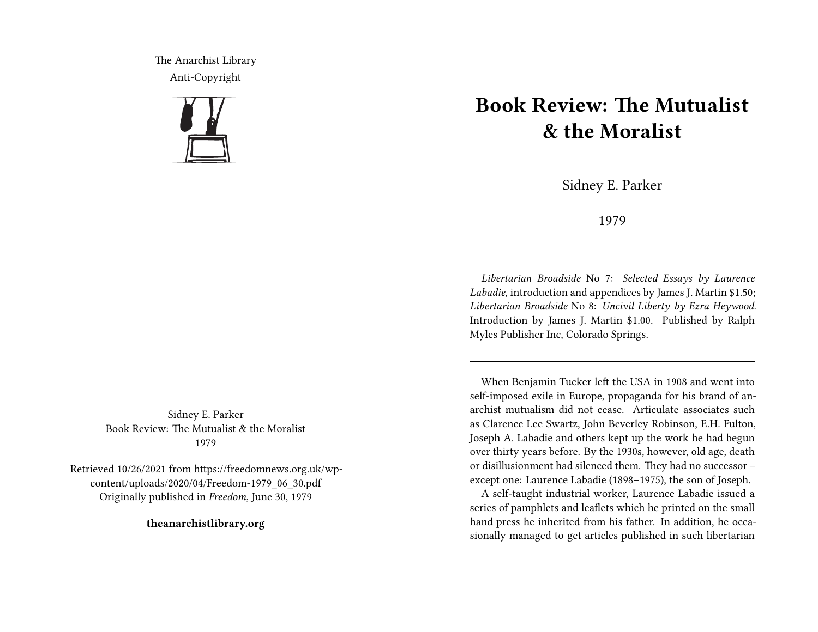The Anarchist Library Anti-Copyright



Sidney E. Parker Book Review: The Mutualist & the Moralist 1979

Retrieved 10/26/2021 from https://freedomnews.org.uk/wpcontent/uploads/2020/04/Freedom-1979\_06\_30.pdf Originally published in *Freedom*, June 30, 1979

**theanarchistlibrary.org**

## **Book Review: The Mutualist & the Moralist**

Sidney E. Parker

1979

*Libertarian Broadside* No 7: *Selected Essays by Laurence Labadie*, introduction and appendices by James J. Martin \$1.50; *Libertarian Broadside* No 8: *Uncivil Liberty by Ezra Heywood*. Introduction by James J. Martin \$1.00. Published by Ralph Myles Publisher Inc, Colorado Springs.

When Benjamin Tucker left the USA in 1908 and went into self-imposed exile in Europe, propaganda for his brand of anarchist mutualism did not cease. Articulate associates such as Clarence Lee Swartz, John Beverley Robinson, E.H. Fulton, Joseph A. Labadie and others kept up the work he had begun over thirty years before. By the 1930s, however, old age, death or disillusionment had silenced them. They had no successor – except one: Laurence Labadie (1898–1975), the son of Joseph.

A self-taught industrial worker, Laurence Labadie issued a series of pamphlets and leaflets which he printed on the small hand press he inherited from his father. In addition, he occasionally managed to get articles published in such libertarian